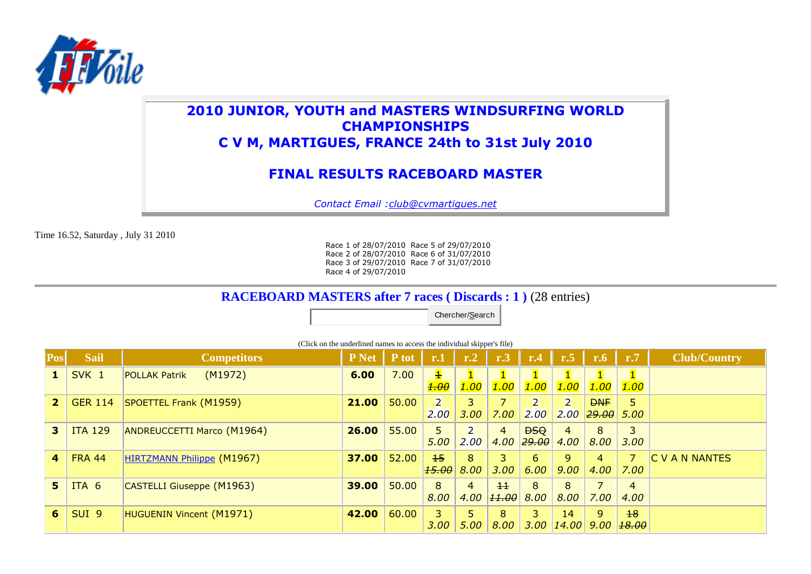

## **2010 JUNIOR, YOUTH and MASTERS WINDSURFING WORLD CHAMPIONSHIPS C V M, MARTIGUES, FRANCE 24th to 31st July 2010**

# **FINAL RESULTS RACEBOARD MASTER**

*Contact Email :club@cvmartigues.net*

Time 16.52, Saturday , July 31 2010

Race 1 of 28/07/2010 Race 5 of 29/07/2010 Race 2 of 28/07/2010 Race 6 of 31/07/2010 Race 3 of 29/07/2010 Race 7 of 31/07/2010 Race 4 of 29/07/2010

### **RACEBOARD MASTERS after 7 races ( Discards : 1 )** (28 entries)

Chercher/Search

**Pos Sail Competitors P Net P tot r.1 r.2 r.3 r.4 r.5 r.6 r.7 Club/Country 1** SVK 1 POLLAK Patrik (M1972) **6.00** 7.00 1 *1.00* 1 *1.00* 1 *1.00* 1 *1.00* 1 *1.00* 1 *1.00* 1 *1.00* **2** GER 114 SPOETTEL Frank (M1959) **21.00 21.00 21.00 2** *2.00* 3 *3.00* 7 *7.00* 2 *2.00* 2 *2.00 29.00* **DNF** 5 *5.00* **3** | ITA 129 | ANDREUCCETTI Marco (M1964) | **26.00** | 55.00 | 5 *5.00* 2 *2.00* 4 *4.00 29.00 4.00* **DSQ** 4 8 *8.00* 3 *3.00* **4** FRA 44 HIRTZMANN Philippe (M1967) **37.00** 52.00 152 *15.00* 8 *8.00* 3 *3.00* 6 *6.00* 9 *9.00* 4 *4.00* 7 *7.00* C V A N NANTES **5** ITA 6 CASTELLI Giuseppe (M1963) **39.00** 50.00 8 *8.00* 4 *4.00 11.00 8.00* 11 8 8 *8.00* 7 *7.00* 4 *4.00* **6** SUI 9 HUGUENIN Vincent (M1971) **42.00** 60.00 3 *3.00* 5 *5.00* 8 *8.00* 3 *3.00 14.00 9.00 18.00*14 9 18

(Click on the underlined names to access the individual skipper's file)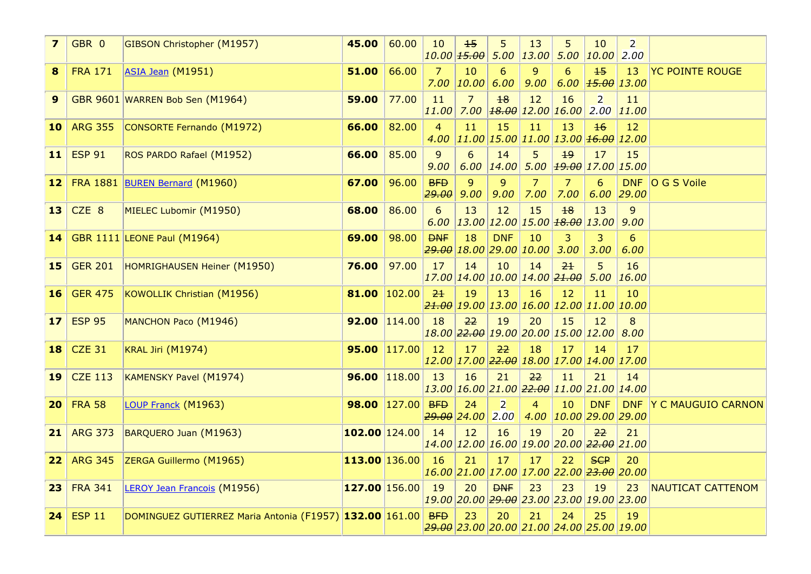| $\overline{\mathbf{z}}$ | GBR 0            | <b>GIBSON Christopher (M1957)</b>                           | 45.00            | 60.00  | 10             | 15                                                            | 5                      | 13                     | 5                                    | 10<br>$\left  10.00 \left  15.00 \right  5.00 \left  13.00 \right  5.00 \left  10.00 \right  \right $ | $\overline{2}$<br>2.00     |                        |
|-------------------------|------------------|-------------------------------------------------------------|------------------|--------|----------------|---------------------------------------------------------------|------------------------|------------------------|--------------------------------------|-------------------------------------------------------------------------------------------------------|----------------------------|------------------------|
| 8                       | <b>FRA 171</b>   | ASIA Jean (M1951)                                           | 51.00            | 66.00  | 7              | 10<br>$7.00$   10.00                                          | 6<br>6.00              | 9<br>9.00              | 6                                    | $15$<br>$6.00$ $\left  \frac{15.00}{13.00} \right $                                                   | 13                         | <b>YC POINTE ROUGE</b> |
| 9                       |                  | GBR 9601 WARREN Bob Sen (M1964)                             | 59.00            | 77.00  | 11<br>11.00    | $\overline{7}$                                                | 18                     | 12                     | 16<br>$7.00$ $18.00$ $12.00$ $16.00$ | $\overline{2}$                                                                                        | 11<br>$2.00$ $11.00$       |                        |
| <b>10</b>               | <b>ARG 355</b>   | CONSORTE Fernando (M1972)                                   | 66.00            | 82.00  | $\overline{4}$ | 11                                                            | 15                     | 11                     | 13                                   | $\overline{16}$<br>$4.00$  11.00 15.00 11.00 13.00 $\frac{46.00}{12.00}$                              | 12                         |                        |
| 11                      | <b>ESP 91</b>    | ROS PARDO Rafael (M1952)                                    | 66.00            | 85.00  | 9<br>9.00      | 6                                                             | 14<br>$6.00$   14.00   | 5 <sup>5</sup>         | 19                                   | 17<br>$5.00$ $\big  19.00 \big  17.00 \big  15.00$                                                    | 15                         |                        |
| 12 <sub>1</sub>         |                  | FRA 1881 BUREN Bernard (M1960)                              | 67.00            | 96.00  | BFD<br> 29.00  | $\overline{9}$<br>9.00                                        | $\overline{9}$<br>9.00 | $\overline{7}$<br>7.00 | $\overline{7}$<br>7.00               | 6                                                                                                     | <b>DNF</b><br>$6.00$ 29.00 | O G S Voile            |
| 13                      | CZE <sub>8</sub> | MIELEC Lubomir (M1950)                                      | 68.00            | 86.00  | 6              | 13                                                            | 12                     | 15                     | 18                                   | 13<br>$6.00$   13.00   12.00   15.00   <del>18.00</del>   13.00                                       | 9<br>9.00                  |                        |
| 14 <sup>1</sup>         |                  | <b>GBR 1111 LEONE Paul (M1964)</b>                          | 69.00            | 98.00  | <b>DNF</b>     | 18<br>$\frac{29.00}{18.00}$ 29.00 $\left  10.00 \right $ 3.00 | <b>DNF</b>             | 10                     | 3                                    | 3<br>3.00                                                                                             | 6<br>6.00                  |                        |
| <b>15</b>               | <b>GER 201</b>   | HOMRIGHAUSEN Heiner (M1950)                                 | 76.00            | 97.00  | 17             | 14<br>17.00 14.00 10.00 14.00 <del>21.00</del>                | 10                     | 14                     | 2 <sub>1</sub>                       | 5                                                                                                     | 16<br>$5.00$   16.00       |                        |
| 16                      | <b>GER 475</b>   | KOWOLLIK Christian (M1956)                                  | 81.00            | 102.00 | 2 <sup>1</sup> | 19                                                            | 13                     | 16                     | 12                                   | 11<br>$\frac{21.00}{19.00}$ 13.00 $\frac{16.00}{12.00}$ $\frac{11.00}{10.00}$                         | 10                         |                        |
| 17 <sub>2</sub>         | <b>ESP 95</b>    | MANCHON Paco (M1946)                                        | 92.00 $ 114.00 $ |        | 18             | 22                                                            | 19                     | 20                     | 15                                   | 12<br>18.00 22.00 19.00 20.00 15.00 12.00                                                             | 8<br>8.00                  |                        |
| <b>18</b>               | <b>CZE 31</b>    | KRAL Jiri (M1974)                                           | 95.00 117.00     |        | 12             | 17                                                            | 22                     | 18                     | 17                                   | 14<br>12.00 17.00 22.00 18.00 17.00 14.00 17.00                                                       | 17                         |                        |
| 19                      | <b>CZE 113</b>   | <b>KAMENSKY Pavel (M1974)</b>                               | 96.00 118.00     |        | 13             | 16                                                            | 21                     | 22                     | 11                                   | 21<br>$13.00\,16.00\,21.00\,22.00\,11.00\,21.00\,14.00$                                               | 14                         |                        |
| 20                      | <b>FRA 58</b>    | LOUP Franck (M1963)                                         | $98.00$  127.00  |        | <b>BFD</b>     | 24<br>$79.00$ 24.00                                           | $\overline{2}$<br>2.00 | 4                      | 10                                   | <b>DNF</b><br>4.00 10.00 29.00 29.00                                                                  | <b>DNF</b>                 | Y C MAUGUIO CARNON     |
| 21                      | <b>ARG 373</b>   | BARQUERO Juan (M1963)                                       | 102.00 124.00    |        | 14             | 12                                                            | 16                     | 19                     | 20                                   | 22<br>14.00 12.00 16.00 19.00 20.00 <del>22.00</del> 21.00                                            | 21                         |                        |
| 22                      | <b>ARG 345</b>   | ZERGA Guillermo (M1965)                                     | 113.00 136.00    |        | 16             | 21                                                            | 17                     | 17                     | 22                                   | <b>SCP</b><br>16.00 21.00 17.00 17.00 22.00 23.00 20.00                                               | 20                         |                        |
| 23                      | <b>FRA 341</b>   | <b>LEROY Jean Francois (M1956)</b>                          | $127.00$ 156.00  |        | 19             | 20                                                            | <b>DNF</b>             | 23                     | 23                                   | 19<br>19.00 20.00 <del>29.00</del> 23.00 23.00 19.00 23.00                                            | 23                         | NAUTICAT CATTENOM      |
| 24                      | <b>ESP 11</b>    | DOMINGUEZ GUTIERREZ Maria Antonia (F1957) 132.00 161.00 BFD |                  |        |                | 23                                                            | 20                     | 21                     | 24                                   | 25<br>29.00 23.00 20.00 21.00 24.00 25.00 19.00                                                       | 19                         |                        |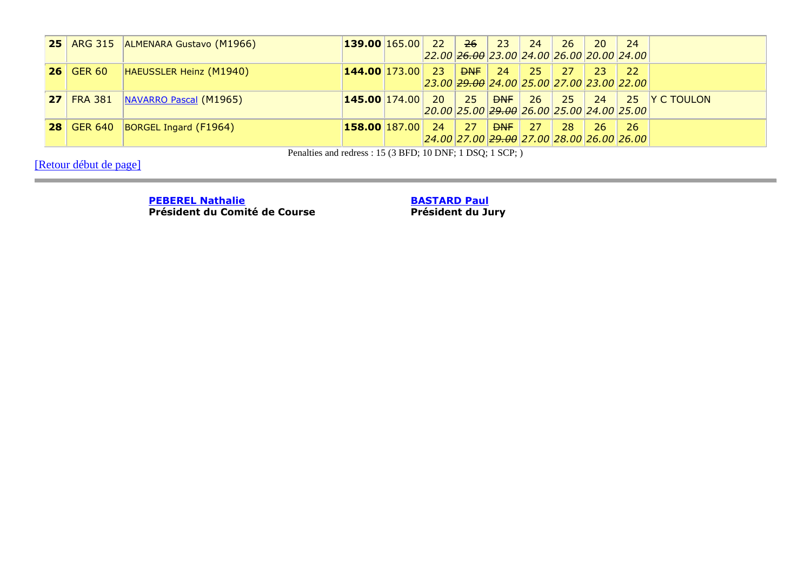| 25 |                   | ARG 315 ALMENARA Gustavo (M1966)             | $139.00$ $165.00$  | $\sqrt{22}$                                                                                                  | $\vert$ 26 $\vert$ | $\overline{23}$ | 24                                                   | <b>26</b> | - 20      | 24   |               |
|----|-------------------|----------------------------------------------|--------------------|--------------------------------------------------------------------------------------------------------------|--------------------|-----------------|------------------------------------------------------|-----------|-----------|------|---------------|
|    |                   |                                              |                    |                                                                                                              |                    |                 | 22.00 <del>26.00</del> 23.00 24.00 26.00 20.00 24.00 |           |           |      |               |
|    | $\vert$ 26 GER 60 | HAEUSSLER Heinz (M1940)                      | $144.00$ 173.00 23 |                                                                                                              | P <sub>NF</sub>    | 24              | 25                                                   | 27/       | <b>23</b> | 22   |               |
|    |                   |                                              |                    |                                                                                                              |                    |                 | 23.00 <del>29.00</del> 24.00 25.00 27.00 23.00 22.00 |           |           |      |               |
|    |                   | <b>27</b>   FRA 381   NAVARRO Pascal (M1965) | $145.00$ $174.00$  | $20 \mid 25$                                                                                                 |                    | PNF             | $26$ 25                                              |           | - 24      |      | 25 Y C TOULON |
|    |                   |                                              |                    | $20.00$ 25.00 $\overline{29.00}$ $\overline{26.00}$ $\overline{25.00}$ $\overline{24.00}$ $\overline{25.00}$ |                    |                 |                                                      |           |           |      |               |
|    | <b>28 GER 640</b> | BORGEL Ingard (F1964)                        | $158.00$ $187.00$  | 24                                                                                                           | 27                 | <b>DNF</b>      | -27                                                  | 28        | 26        | - 26 |               |
|    |                   |                                              |                    |                                                                                                              |                    |                 | 24.00 27.00 <del>29.00</del> 27.00 28.00 26.00 26.00 |           |           |      |               |

Penalties and redress : 15 (3 BFD; 10 DNF; 1 DSQ; 1 SCP; )

[Retour début de page]

**PEBEREL Nathalie**

**Président du Comité de Course**

**BASTARD Paul**

**Président du Jury**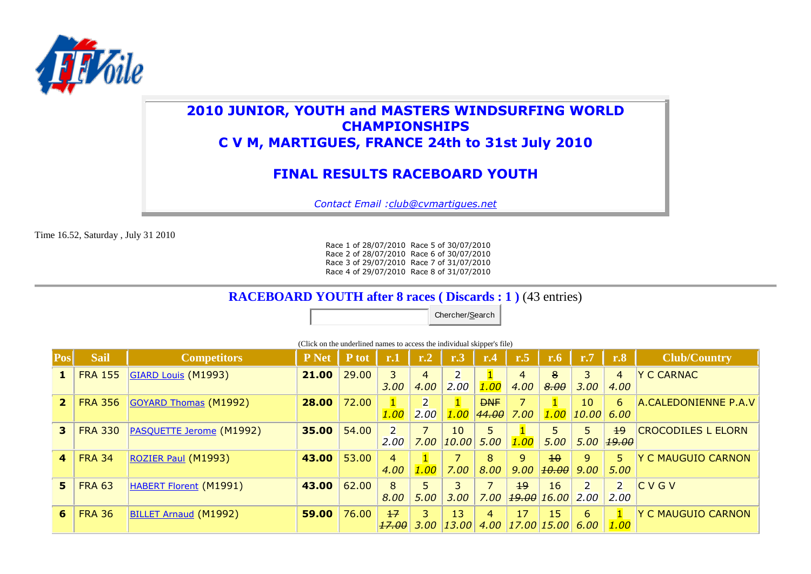

## **2010 JUNIOR, YOUTH and MASTERS WINDSURFING WORLD CHAMPIONSHIPS C V M, MARTIGUES, FRANCE 24th to 31st July 2010**

# **FINAL RESULTS RACEBOARD YOUTH**

*Contact Email :club@cvmartigues.net*

Time 16.52, Saturday , July 31 2010

Race 1 of 28/07/2010 Race 5 of 30/07/2010 Race 2 of 28/07/2010 Race 6 of 30/07/2010 Race 3 of 29/07/2010 Race 7 of 31/07/2010 Race 4 of 29/07/2010 Race 8 of 31/07/2010

### **RACEBOARD YOUTH after 8 races ( Discards : 1 )** (43 entries)

Chercher/Search

(Click on the underlined names to access the individual skipper's file)

| Pos            | <b>Sail</b>    | <b>Competitors</b>            | P Net | P tot | r.1          | r <sub>.2</sub> | r.3                 | r.4        | r.5  | $\mathbf{r.6}$  | r.7   | r.8            | <b>Club/Country</b>       |
|----------------|----------------|-------------------------------|-------|-------|--------------|-----------------|---------------------|------------|------|-----------------|-------|----------------|---------------------------|
| 1              | <b>FRA 155</b> | <b>GIARD Louis (M1993)</b>    | 21.00 | 29,00 | 3            | 4               | 2                   |            | 4    | 8               |       | 4              | <b>Y C CARNAC</b>         |
|                |                |                               |       |       | 3.00         | 4.00            | 2.00                | 1.00       | 4.00 | 8.00            | 3.00  | 4.00           |                           |
| $\overline{2}$ | <b>FRA 356</b> | <b>GOYARD Thomas (M1992)</b>  | 28.00 | 72.00 | $\mathbf{1}$ |                 |                     | <b>DNF</b> |      | $\mathbf{1}$    | 10    | 6              | A.CALEDONIENNE P.A.V      |
|                |                |                               |       |       | 1.00         | 2.00            | 1.00                | 44.00      | 7.00 | 1.00            | 10.00 | 6.00           |                           |
| 3              | <b>FRA 330</b> | PASQUETTE Jerome (M1992)      | 35.00 | 54.00 | 2            | 7               | 10                  | 5          |      |                 |       | 19             | <b>CROCODILES L ELORN</b> |
|                |                |                               |       |       | 2.00         | 7.00            | $\vert 10.00 \vert$ | 5.00       | 1.00 | 5.00            | 5.00  | 19.00          |                           |
| 4              | <b>FRA 34</b>  | ROZIER Paul (M1993)           | 43.00 | 53.00 | 4            |                 |                     | 8          | 9    | $\overline{10}$ | 9     | 5.             | <b>Y C MAUGUIO CARNON</b> |
|                |                |                               |       |       | 4.00         | 1.00            | 7.00                | 8.00       | 9.00 | 10.00           | 9.00  | 5.00           |                           |
| 5              | <b>FRA 63</b>  | <b>HABERT Florent (M1991)</b> | 43.00 | 62.00 | 8            | 5               | 3                   |            | 19   | 16              |       | $\overline{2}$ | ICVGV                     |
|                |                |                               |       |       | 8.00         | 5.00            | 3.00                | 7.00       |      | 19.00 16.00     | 2.00  | 2.00           |                           |
| 6              | <b>FRA 36</b>  | <b>BILLET Arnaud (M1992)</b>  | 59.00 | 76.00 | $+7$         | 3               | 13                  | 4          | 17   | 15              | 6     | $\mathbf{1}$   | <b>Y C MAUGUIO CARNON</b> |
|                |                |                               |       |       | 17.00        | 3.00            | 13.00               | 4.00       |      | 17.00 15.00     | 6.00  | 1.00           |                           |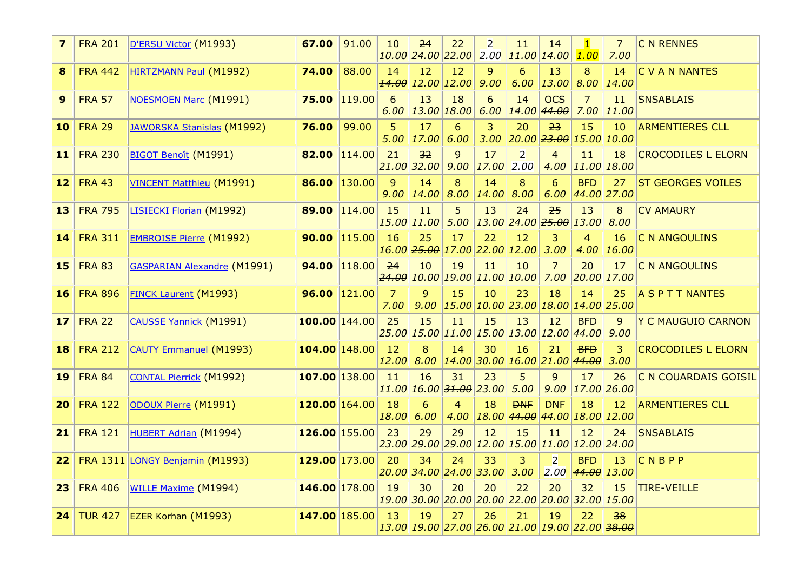| $\overline{z}$ | <b>FRA 201</b> | D'ERSU Victor (M1993)              | 67.00           | 91.00        | 10                     | 24<br>$10.00$ $24.00$ $22.00$                | 22             | $\overline{2}$     | 11<br>$2.00$ $11.00$ $14.00$                                                  | 14                            | $\mathbf{1}$<br>1.00   | $\overline{7}$<br>7.00       | <b>C N RENNES</b>         |
|----------------|----------------|------------------------------------|-----------------|--------------|------------------------|----------------------------------------------|----------------|--------------------|-------------------------------------------------------------------------------|-------------------------------|------------------------|------------------------------|---------------------------|
| 8              | <b>FRA 442</b> | HIRTZMANN Paul (M1992)             | 74.00           | 88.00        | 14                     | 12<br><b>14.00</b> 12.00 12.00               | 12             | 9<br>9.00          | 6                                                                             | 13<br>$6.00$   13.00          | 8<br>8.00              | 14<br>14.00                  | C V A N NANTES            |
| 9              | <b>FRA 57</b>  | <b>NOESMOEN Marc (M1991)</b>       | 75.00           | 119.00       | 6                      | 13<br>$6.00$   13.00   18.00                 | 18             | 6<br>6.00          | 14                                                                            | <b>OCS</b><br>$14.00$ $44.00$ | $\overline{7}$<br>7.00 | 11<br>11.00                  | <b>SNSABLAIS</b>          |
| 10             | <b>FRA 29</b>  | JAWORSKA Stanislas (M1992)         | 76.00           | 99.00        | 5                      | 17<br>$5.00$   17.00                         | 6<br>6.00      | 3                  | 20<br>$3.00$ 20.00 $23.00$ 15.00 10.00                                        | 23                            | 15                     | 10                           | <b>ARMENTIERES CLL</b>    |
| 11             | <b>FRA 230</b> | BIGOT Benoît (M1991)               | 82.00           | 114.00       | 21                     | 32<br>$ 21.00 $ $ 32.00 $                    | 9<br>9.00      | 17<br>$17.00$ 2.00 | $\overline{2}$                                                                | $\overline{4}$                | 11                     | 18<br>4.00 11.00 18.00       | <b>CROCODILES L ELORN</b> |
| 12             | <b>FRA 43</b>  | <b>VINCENT Matthieu (M1991)</b>    | 86.00           | 130.00       | 9<br>9.00              | 14<br>14.00                                  | 8<br>8.00      | 14<br>14.00   8.00 | 8                                                                             | 6                             | <b>BFD</b>             | 27<br>$6.00$ 44.00 27.00     | <b>ST GEORGES VOILES</b>  |
| 13             | <b>FRA 795</b> | LISIECKI Florian (M1992)           |                 | 89.00 114.00 | 15                     | 11<br>$15.00$ $11.00$                        | 5<br>5.00      | 13                 | 24<br>$13.00$ 24.00 $\overline{25.00}$ 13.00 8.00                             | 25                            | 13                     | 8                            | <b>CV AMAURY</b>          |
| 14             | <b>FRA 311</b> | <b>EMBROISE Pierre (M1992)</b>     | 90.00           | 115.00       | 16                     | 25                                           | 17             | 22                 | 12<br>16.00 25.00 17.00 22.00 12.00                                           | 3<br>3.00                     | 4<br>4.00              | 16<br>16.00                  | <b>C N ANGOULINS</b>      |
| 15             | <b>FRA 83</b>  | <b>GASPARIAN Alexandre (M1991)</b> | 94.00           | 118.00       | 24                     | 10                                           | 19             | 11                 | 10<br>$\left  \frac{24.00}{10.00} \right $ 19.00 $\left  11.00 \right $ 10.00 | $\overline{7}$                | 20                     | 17<br>$7.00$ 20.00 17.00     | <b>C N ANGOULINS</b>      |
| 16             | <b>FRA 896</b> | <b>FINCK Laurent (M1993)</b>       | 96.00           | 121.00       | $\overline{7}$<br>7.00 | $\overline{9}$                               | 15             | 10                 | 23<br>$9.00$ $15.00$ $10.00$ $23.00$ $18.00$ $14.00$ $25.00$                  | 18                            | 14                     | 25                           | <b>A S P T T NANTES</b>   |
| 17             | <b>FRA 22</b>  | <b>CAUSSE Yannick (M1991)</b>      | $100.00$ 144.00 |              | 25                     | 15                                           | 11             | 15                 | 13<br>25.00 15.00 11.00 15.00 13.00 12.00 4 <del>4.00</del>                   | 12                            | <b>BFD</b>             | 9<br>9.00                    | Y C MAUGUIO CARNON        |
| 18             | <b>FRA 212</b> | <b>CAUTY Emmanuel (M1993)</b>      | $104.00$ 148.00 |              | 12<br> 12.00           | 8<br>8.00                                    | 14             | 30                 | 16<br>$14.00$ 30.00 16.00 21.00 44.00                                         | 21                            | <b>BFD</b>             | 3<br>3.00                    | <b>CROCODILES L ELORN</b> |
| 19             | <b>FRA 84</b>  | <b>CONTAL Pierrick (M1992)</b>     | $107.00$ 138.00 |              | 11                     | 16<br>$11.00$ $16.00$ $31.00$ $23.00$ $5.00$ | 3 <sup>1</sup> | 23                 | 5                                                                             | 9                             | 17                     | 26<br>$9.00$ $17.00$ $26.00$ | C N COUARDAIS GOISIL      |
| 20             | <b>FRA 122</b> | ODOUX Pierre (M1991)               | $120.00$ 164.00 |              | 18<br>18.00            | 6<br>6.00                                    | 4<br>4.00      | 18                 | <b>DNF</b><br>$18.00$ $44.00$ $44.00$ $18.00$ $12.00$                         | <b>DNF</b>                    | 18                     | 12                           | <b>ARMENTIERES CLL</b>    |
| 21             | <b>FRA 121</b> | <b>HUBERT Adrian (M1994)</b>       | $126.00$ 155.00 |              | 23                     | 29                                           | 29             | 12                 | 15<br>23.00 <del>29.00</del> 29.00 12.00 15.00 11.00 12.00 24.00              | 11                            | 12                     | 24                           | <b>SNSABLAIS</b>          |
| 22             |                | FRA 1311 LONGY Benjamin (M1993)    | $129.00$ 173.00 |              | 20                     | 34<br>$20.00$ 34.00 24.00 33.00 3.00         | 24             | 33                 | $\overline{3}$                                                                | $\overline{2}$                | <b>BFD</b>             | 13<br>$2.00$ $44.00$ $13.00$ | CNBPP                     |
| 23             | <b>FRA 406</b> | <b>WILLE Maxime (M1994)</b>        | $146.00$ 178.00 |              | 19                     | 30                                           | 20             | 20                 | 22<br>19.00 30.00 20.00 20.00 22.00 20.00 <del>32.00</del> 15.00              | 20                            | 32                     | 15                           | <b>TIRE-VEILLE</b>        |
| 24             | <b>TUR 427</b> | EZER Korhan (M1993)                | 147.00 185.00   |              | 13                     | 19                                           | 27             | 26                 | 21<br>13.00 19.00 27.00 26.00 21.00 19.00 22.00 <del>38.00</del>              | 19                            | 22                     | 38                           |                           |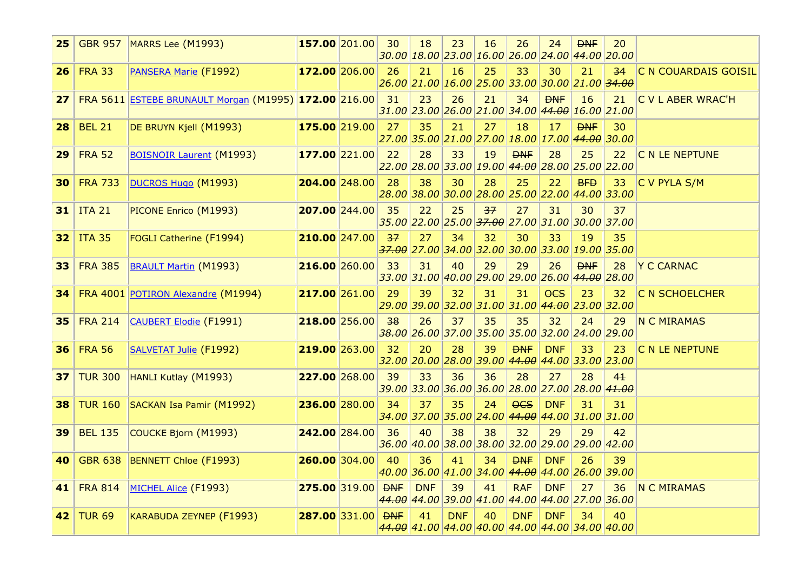| 25              |                | <b>GBR 957 MARRS Lee (M1993)</b>                         | $157.00$ 201.00                       | 30 | 18         | 23         | 16 | 26                                                            | 24         | <b>DNF</b> | 20<br>$30.00$ $18.00$ $23.00$ $16.00$ $26.00$ $24.00$ $44.00$ $20.00$ |                       |
|-----------------|----------------|----------------------------------------------------------|---------------------------------------|----|------------|------------|----|---------------------------------------------------------------|------------|------------|-----------------------------------------------------------------------|-----------------------|
| 26              | <b>FRA 33</b>  | PANSERA Marie (F1992)                                    | $172.00$ 206.00                       | 26 | 21         | 16         | 25 | 33                                                            | 30         | 21         | 34<br>26.00 21.00 16.00 25.00 33.00 30.00 21.00 34.00                 | C N COUARDAIS GOISIL  |
| 27 <sub>1</sub> |                | FRA 5611 ESTEBE BRUNAULT Morgan (M1995) 172.00 216.00 31 |                                       |    | 23         | 26         | 21 | 34                                                            | <b>DNF</b> | 16         | 21<br>$31.00$ 23.00 26.00 21.00 34.00 44.00 16.00 21.00               | C V L ABER WRAC'H     |
| 28              | <b>BEL 21</b>  | DE BRUYN Kjell (M1993)                                   | $\vert$ 175.00 $\vert$ 219.00 $\vert$ | 27 | 35         | 21         | 27 | 18                                                            | 17         | <b>DNF</b> | 30<br>27.00 35.00 21.00 27.00 18.00 17.00 4 <del>4.00</del> 30.00     |                       |
| 29              | <b>FRA 52</b>  | <b>BOISNOIR Laurent (M1993)</b>                          | $177.00$ 221.00                       | 22 | 28         | 33         | 19 | <b>DNF</b><br>22.00 28.00 33.00 19.00 44.00 28.00 25.00 22.00 | 28         | 25         | 22                                                                    | C N LE NEPTUNE        |
| 30              | <b>FRA 733</b> | DUCROS Hugo (M1993)                                      | 204.00 248.00                         | 28 | 38         | 30         | 28 | 25                                                            | 22         | <b>BFD</b> | 33<br>$28.00$ 38.00 30.00 28.00 25.00 22.00 44.00 33.00               | C V PYLA S/M          |
|                 | $31$ ITA 21    | PICONE Enrico (M1993)                                    | 207.00 244.00                         | 35 | 22         | 25         | 37 | 27                                                            | 31         | 30         | 37<br>35.00 22.00 25.00 <del>37.00</del> 27.00 31.00 30.00 37.00      |                       |
|                 | $32$ ITA 35    | FOGLI Catherine (F1994)                                  | 210.00 247.00                         | 37 | 27         | 34         | 32 | 30                                                            | 33         | 19         | 35<br>$\frac{1}{37.00}$ 27.00 34.00 32.00 30.00 33.00 19.00 35.00     |                       |
| 33              | <b>FRA 385</b> | <b>BRAULT Martin (M1993)</b>                             | $216.00$ 260.00                       | 33 | 31         | 40         | 29 | 29<br>33.00 31.00 40.00 29.00 29.00 26.00 44.00 28.00         | 26         | <b>DNF</b> | 28                                                                    | Y C CARNAC            |
|                 |                | 34 FRA 4001 POTIRON Alexandre (M1994)                    | 217.00 261.00                         | 29 | 39         | 32         | 31 | 31                                                            | $0$        | 23         | 32<br>29.00 39.00 32.00 31.00 31.00 4 <del>4.00</del> 23.00 32.00     | <b>C N SCHOELCHER</b> |
|                 | $35$ FRA 214   | CAUBERT Elodie (F1991)                                   | $218.00$ 256.00                       | 38 | 26         | 37         | 35 | 35                                                            | 32         | 24         | 29<br><del>38.00</del> 26.00 37.00 35.00 35.00 32.00 24.00 29.00      | N C MIRAMAS           |
| 36              | <b>FRA 56</b>  | SALVETAT Julie (F1992)                                   | 219.00 263.00                         | 32 | 20         | 28         | 39 | <b>DNF</b><br>32.00 20.00 28.00 39.00 44.00 44.00 33.00 23.00 | <b>DNF</b> | 33         | 23                                                                    | C N LE NEPTUNE        |
| 37              |                | TUR 300 HANLI Kutlay (M1993)                             | 227.00 268.00                         | 39 | 33         | 36         | 36 | 28                                                            | 27         | 28         | $4+$<br>$39.00$ 33.00 36.00 36.00 28.00 27.00 28.00 41.00             |                       |
| 38.             |                | TUR 160 SACKAN Isa Pamir (M1992)                         | 236.00 280.00                         | 34 | 37         | 35         | 24 | <b>OCS</b>                                                    | <b>DNF</b> | 31         | 31<br>34.00 37.00 35.00 24.00 44.00 44.00 31.00 31.00                 |                       |
| 39              | <b>BEL 135</b> | COUCKE Bjorn (M1993)                                     | 242.00 284.00                         | 36 | 40         | 38         | 38 | 32                                                            | 29         | 29         | 42<br>36.00 40.00 38.00 38.00 32.00 29.00 29.00 4 <del>2.00</del>     |                       |
| 40              |                | GBR 638 BENNETT Chloe (F1993)                            | 260.00 304.00                         | 40 | 36         | 41         | 34 | <b>DNF</b>                                                    | <b>DNF</b> | 26         | 39<br>40.00 36.00 41.00 34.00 44.00 44.00 26.00 39.00                 |                       |
|                 |                | 41 FRA 814 MICHEL Alice (F1993)                          | $ 275.00 319.00 $ DNF                 |    | <b>DNF</b> | 39         | 41 | <b>RAF</b>                                                    | <b>DNF</b> | 27         | 36<br>44.00 44.00 39.00 41.00 44.00 44.00 27.00 36.00                 | N C MIRAMAS           |
| 42              | <b>TUR 69</b>  | KARABUDA ZEYNEP (F1993)                                  | $ 287.00 331.00 $ DNF                 |    | 41         | <b>DNF</b> | 40 | <b>DNF</b>                                                    | <b>DNF</b> | 34         | 40<br>44.00 41.00 44.00 40.00 44.00 44.00 34.00 40.00                 |                       |